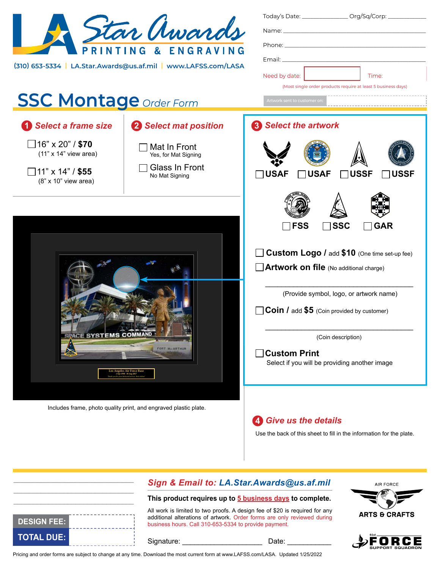| Star Awards<br>(310) 653-5334   LA.Star.Awards@us.af.mil   www.LAFSS.com/LASA                                       |                                                                                 | Today's Date: __________________ Org/Sq/Corp: ______________<br>$E$ mail: $\_\_\_\_\_\_\_\_\_\_\_\_\_\_\_\_$<br>Need by date:<br>Time:<br>(Most single order products require at least 5 business days)                                                                                                                               |  |
|---------------------------------------------------------------------------------------------------------------------|---------------------------------------------------------------------------------|---------------------------------------------------------------------------------------------------------------------------------------------------------------------------------------------------------------------------------------------------------------------------------------------------------------------------------------|--|
| <b>SSC Montage Order Form</b>                                                                                       |                                                                                 | Artwork sent to customer on                                                                                                                                                                                                                                                                                                           |  |
| <b>Select a frame size</b>                                                                                          | 2 Select mat position                                                           | <b>8</b> Select the artwork                                                                                                                                                                                                                                                                                                           |  |
| ∃16" x 20" / <b>\$70</b><br>$(11" \times 14"$ view area)<br>∃11" x 14" / <b>\$55</b><br>$(8" \times 10"$ view area) | Mat In Front<br>Yes, for Mat Signing<br><b>Glass In Front</b><br>No Mat Signing | <b>USSF</b><br><b>USAF</b><br><b>USAF</b><br>ISSF                                                                                                                                                                                                                                                                                     |  |
| <b>ACE SYSTEMS COMMAND</b><br><b>FORT M=ARTHUR</b><br>Angeles Air Force Bas<br>1 Sep 1990 - 30 Aug 2017             |                                                                                 | <b>SSC</b><br><b>FSS</b><br><b>GAR</b><br>Custom Logo / add \$10 (One time set-up fee)<br>$\Box$ Artwork on file (No additional charge)<br>(Provide symbol, logo, or artwork name)<br><b>Coin / add \$5</b> (Coin provided by customer)<br>(Coin description)<br><b>Custom Print</b><br>Select if you will be providing another image |  |
|                                                                                                                     | Includes frame, photo quality print, and engraved plastic plate.                | 4 Give us the details<br>Use the back of this sheet to fill in the information for the plate.                                                                                                                                                                                                                                         |  |
|                                                                                                                     | Sign & Email to: LA.Star.Awards@us.af.mil                                       | <b>AIR FORCE</b>                                                                                                                                                                                                                                                                                                                      |  |

## **This product requires up to 5 business days to complete.**

All work is limited to two proofs. A design fee of \$20 is required for any additional alterations of artwork. Order forms are only reviewed during business hours. Call 310-653-5334 to provide payment.



\_\_\_\_\_\_\_\_\_\_\_\_\_\_\_\_\_\_\_\_\_\_\_\_\_\_\_\_\_\_\_ \_\_\_\_\_\_\_\_\_\_\_\_\_\_\_\_\_\_\_\_\_\_\_\_\_\_\_\_\_\_\_

Signature: \_\_\_\_\_\_\_\_\_\_\_\_\_\_\_\_\_\_\_\_\_\_\_\_\_\_\_\_\_ Date: \_





Pricing and order forms are subject to change at any time. Download the most current form at www.LAFSS.com/LASA. Updated 1/25/2022